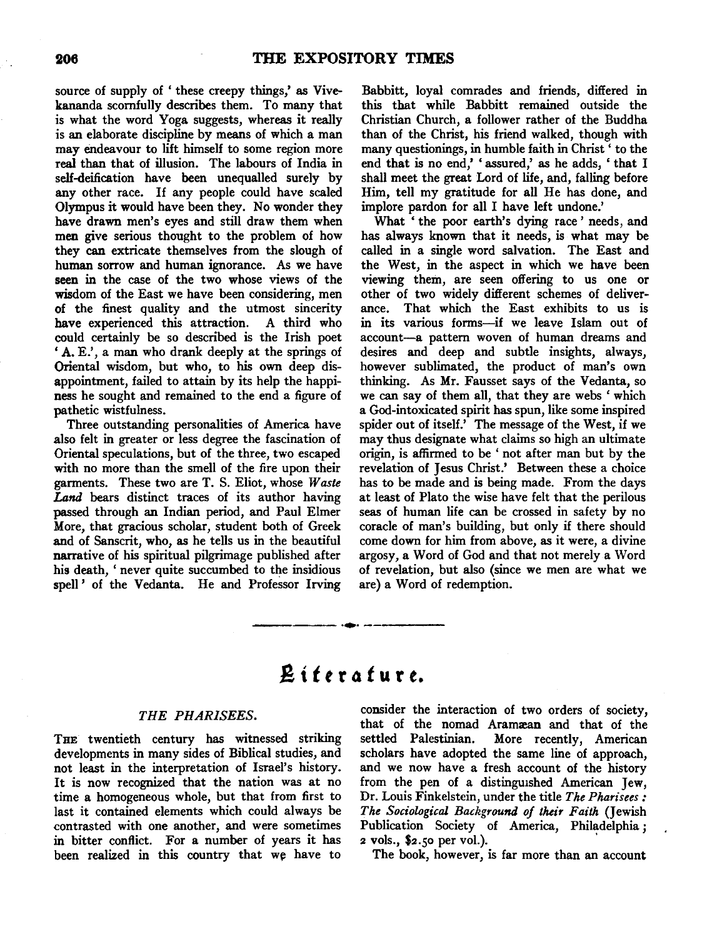source of supply of ' these creepy things,' as Vivekananda scornfully describes them. To many that is what the word Yoga suggests, whereas it really is an elaborate discipline by means of which a man may endeavour to lift himself to some region more real than that of illusion. The labours of India in self-deification have been unequalled surely by any other race. If any people could have scaled Olympus it would have been they. No wonder they have drawn men's eyes and still draw them when men give serious thought to the problem of how they can extricate themselves from the slough of human sorrow and human ignorance. As we have seen in the case of the two whose views of the wisdom of the East we have been considering, men of the finest quality and the utmost sincerity have experienced this attraction. A third who could certainly be so described is the Irish poet ' A. E.', a man who drank deeply at the springs of Oriental wisdom, but who, to his own deep disappointment, failed to attain by its help the happiness he sought and remained to the end a figure of pathetic wistfulness.

Three outstanding personalities of America have also felt in greater or less degree the fascination of Oriental speculations, but of the three, two escaped with no more than the smell of the fire upon their garments. These two are T. S. Eliot, whose *Waste Land* bears distinct traces of its author having passed through an Indian period, and Paul Elmer More, that gracious scholar, student both of Greek and of Sanscrit, who, as he tells us in the beautiful narrative of his spiritual pilgrimage published after his death, ' never quite succumbed to the insidious spell ' of the Vedanta. He and Professor Irving Babbitt, loyal comrades and friends, differed in this that while Babbitt remained outside the Christian Church, a follower rather of the Buddha than of the Christ, his friend walked, though with many questionings, in humble faith in Christ ' to the end that is no end,' ' assured,' as he adds, ' that I shall meet the great Lord of life, and, falling before Him, tell my gratitude for all He has done, and implore pardon for all I have left undone.'

What 'the poor earth's dying race' needs, and has always known that it needs, is what may be called in a single word salvation. The East and the West, in the aspect in which we have been viewing them, are seen offering to us one or other of two widely different schemes of deliverance. That which the East exhibits to us is in its various forms-if we leave Islam out of account-a pattern woven of human dreams and desires and deep and subtle insights, always, however sublimated, the product of man's own thinking. As Mr. Fausset says of the Vedanta, so we can say of them all, that they are webs ' which a God-intoxicated spirit has spun, like some inspired spider out of itself.' The message of the West, if we may thus designate what claims so high an ultimate origin, is affirmed to be ' not after man but by the revelation of Jesus Christ.' Between these a choice has to be made and is being made. From the days at least of Plato the wise have felt that the perilous seas of human life can be crossed in safety by no coracle of man's building, but only if there should come down for him from above, as it were, a divine argosy, a Word of God and that not merely a Word of revelation, but also (since we men are what we are) a Word of redemption.

## **a i t** *t* **r a** *t* **u r e.**

---·•·

## *THE PHARISEES.*

THE twentieth century has witnessed striking developments in many sides of Biblical studies, and not least in the interpretation of Israel's history. It is now recognized that the nation was at no time a homogeneous whole, but that from first to last it contained elements which could always be contrasted with one another, and were sometimes in bitter conflict. For a number of years it has been realized in this country that we have to

consider the interaction of two orders of society, that of the nomad Aramrean and that of the settled Palestinian. More recently, American scholars have adopted the same line of approach, and we now have a fresh account of the history from the pen of a distinguished American Jew, Dr. Louis Finkelstein, under the title *The Pharisees: The Sociological Background of their Faith* (Jewish Publication Society of America, Philadelphia ;  $2$  vols., \$2.50 per vol.).

The book, however, is far more than an account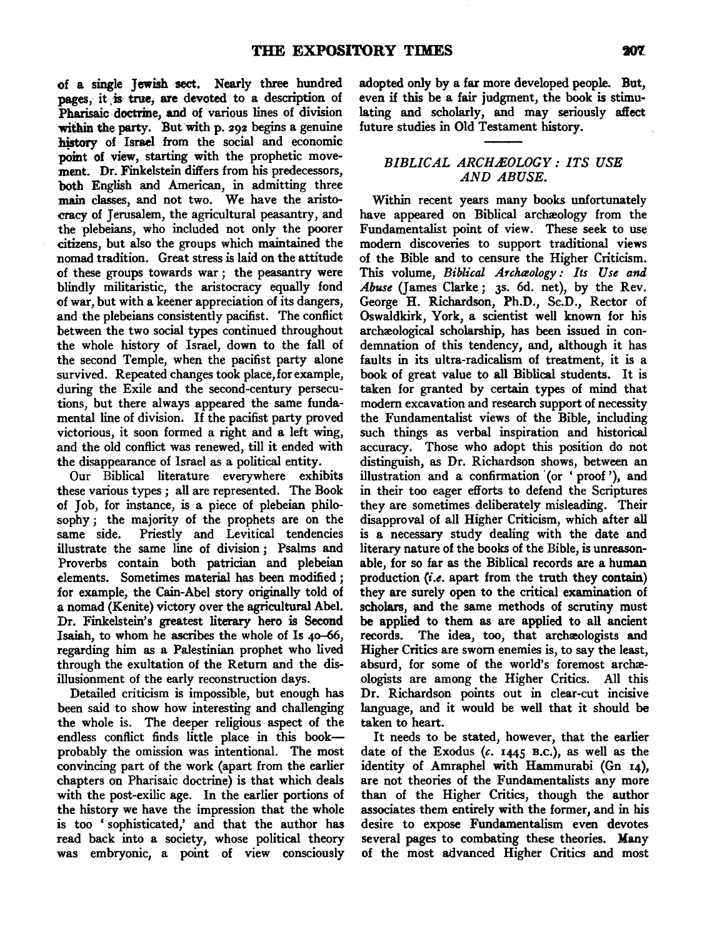of a single Jewish sect. Nearly three hundred pages, it is true, are devoted to a description of Pharisaic doctrine, and of various lines of division within the party. But with p. 292 begins a genuine history of Israel from the social and economic point of view, starting with the prophetic movement. Dr. Finkelstein differs from his predecessors, both English and American, in admitting three main classes, and not two. We have the aristocracy of Jerusalem, the agricultural peasantry, and the plebeians, who included not only the poorer citizens, but also the groups which maintained the nomad tradition. Great stress is laid on the attitude of these groups towards war ; the peasantry were blindly militaristic, the aristocracy equally fond of war, but with a keener appreciation of its dangers, and the plebeians consistently pacifist. The conflict between the two social types continued throughout the whole history of Israel, down to the fall of the second Temple, when the pacifist party alone survived. Repeated changes took place, for example, during the Exile and the second-century persecutions, but there always appeared the same fundamental line of division. If the pacifist party proved victorious, it soon formed a right and a left wing, and the old conflict was renewed, till it ended with the disappearance of Israel as a political entity.

Our Biblical literature everywhere exhibits these various types ; all are represented. The Book of Job, for instance, is a piece of plebeian philosophy; the majority of the prophets are on the same side. Priestly and Levitical tendencies illustrate the same line of division ; Psalms and Proverbs contain both patrician and plebeian elements. Sometimes material has been modified ; for example, the Cain-Abel story originally told of a nomad (Kenite) victory over the agricultural Abel. Dr. Finkelstein's greatest literary hero is Second Isaiah, to whom he ascribes the whole of Is  $40-66$ , regarding him as a Palestinian prophet who lived through the exultation of the Return and the disillusionment of the early reconstruction days.

Detailed criticism is impossible, but enough has been said to show how interesting and challenging the whole is. The deeper religious aspect of the endless conflict finds little place in this bookprobably the omission was intentional. The most convincing part of the work (apart from the earlier chapters on Pharisaic doctrine) is that which deals with the post-exilic age. In the earlier portions of the history we have the impression that the whole is too ' sophisticated,' and that the author has read back into a society, whose political theory was embryonic, a point of view consciously

adopted only by a far more developed people. But, even if this be a fair judgment, the book is stimulating and scholarly, and may seriously affect future studies in Old Testament history.

## *BIBLICAL ARCH£0LOGY: ITS USE AND ABUSE.*

Within recent years many books unfortunately have appeared on Biblical archeology from the Fundamentalist point of view. These seek to use modern discoveries to support traditional views of the Bible and to censure the Higher Criticism. This volume, *Biblical Archaeology: Its Use and Abuse* (James Clarke; 3s. 6d. net), by the Rev. George H. Richardson, Ph.D., Sc.D., Rector of Oswaldkirk, York, a scientist well known for his archæological scholarship, has been issued in condemnation of this tendency, and, although it has faults in its ultra-radicalism of treatment, it is a book of great value to all Biblical students. It is taken for granted by certain types of mind that modern excavation and research support of necessity the Fundamentalist views of the Bible, including such things as verbal inspiration and historical accuracy. Those who adopt this position do not distinguish, as Dr. Richardson shows, between an illustration and a confirmation '(or 'proof'), and in their too eager efforts to defend the Scriptures they are sometimes deliberately misleading. Their disapproval of all Higher Criticism, which after all is a necessary study dealing with the date and literary nature of the books of the Bible, is unreasonable, for so far as the Biblical records are a human production *(i.e.* apart from the truth they contain) they are surely open to the critical examination of scholars, and the same methods of scrutiny must be applied to them as are applied to all ancient records. The idea, too, that archeologists and Higher Critics are sworn enemies is, to say the least, absurd, for some of the world's foremost archæologists are among the Higher Critics. All this Dr. Richardson points out in clear-cut incisive language, and it would be well that it should be taken to heart.

It needs to be stated, however, that the earlier date of the Exodus  $(c. 1445 B.c.)$ , as well as the identity of Amraphel with Hammurabi (Gn 14), are not theories of the Fundamentalists any more than of the Higher Critics, though the author associates them entirely with the former, and in his desire to expose Fundamentalism even devotes several pages to combating these theories. Many of the most advanced Higher Critics and most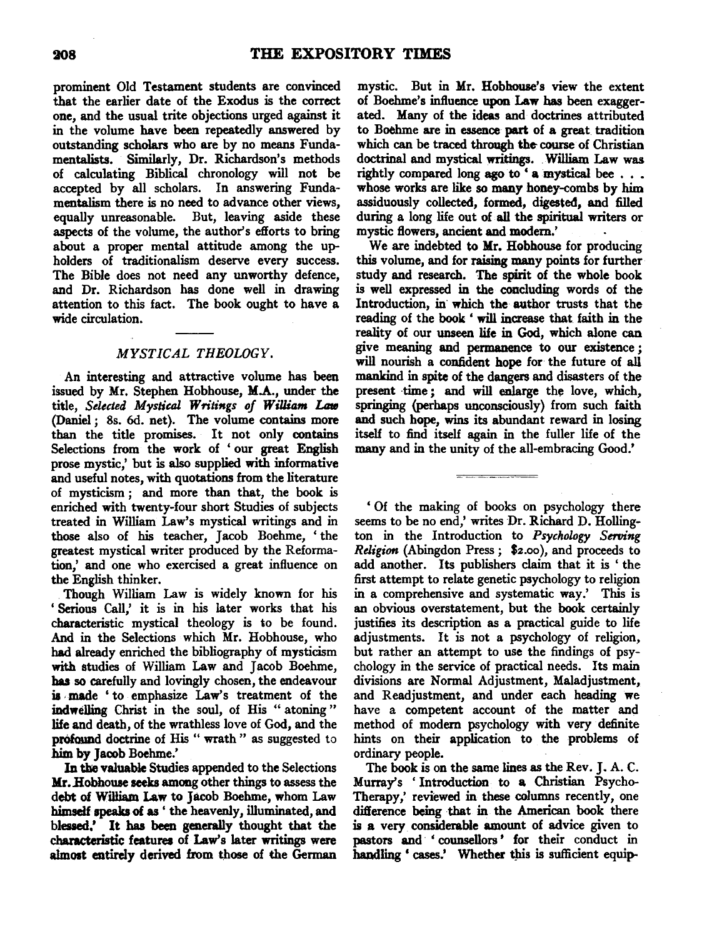prominent Old Testament students are convinced that the earlier date of the Exodus is the correct one, and the usual trite objections urged against it in the volume have been repeatedly answered by outstanding scholars who are by no means Fundamentalists. Similarly, Dr. Richardson's methods of calculating Biblical chronology will not be accepted by all scholars. In answering Fundamentalism there is no need to advance other views, equally unreasonable. But, leaving aside these aspects of the volume, the author's efforts to bring about a proper mental attitude among the upholders of traditionalism deserve every success. The Bible does not need any unworthy defence, and Dr. Richardson has done well in drawing attention to this fact. The book ought to have a wide circulation.

## *MYSTICAL THEOLOGY.*

An interesting and attractive volume has been issued by Mr. Stephen Hobhouse, M.A., under the title, *Selected Mystical Writings of William Law* (Daniel; Ss. 6d. net). The volume contains more than the title promises. It not only contains Selections from the work of ' our great English prose mystic,' but is also supplied with informative and useful notes, with quotations from the literature of mysticism ; and more than that, the book is enriched with twenty-four short Studies of subjects treated in William Law's mystical writings and in those also of his teacher, Jacob Boehme, 'the greatest mystical writer produced by the Reformation,' and one who exercised a great influence on the English thinker.

Though William Law is widely known for his ' Serious Call,' it is in his later works that his characteristic mystical theology is to be found. And in the Selections which Mr. Hobhouse, who had already enriched the bibliography of mysticism with studies of William Law and Jacob Boehme, bas so carefully and lovingly chosen, the endeavour is made 'to emphasize Law's treatment of the indwelling Christ in the soul, of His " atoning" life and death, of the wrathless love of God, and the profound doctrine of His " wrath " as suggested to him by Jacob Boehme.'

In the valuable Studies appended to the Selections Mr. Hobhouae seeks among other things to assess the debt of William Law to Jacob Boehme, whom Law himself speaks of as' the heavenly, illuminated, and blessed.' It has been generally thought that the characteristic features of Law's later writings were almost entirely derived from those of the German

mystic. But in Mr. Hobhouae's view the extent of Boehme's influence upon Law has been exaggerated. Many of the ideas and doctrines attributed to Boehme are in essence part of a great tradition which can be traced through the course of Christian doctrinal and mystical writings. William Law was rightly compared long ago to 'a mystical bee  $\ldots$ whose works are like so many honey-combs by him assiduously collected, formed, digested, and filled during a long life out of all the spiritual writers or mystic flowers, ancient and modem.'

We are indebted to Mr. Hobhouse for producing this volume, and for raising many points for further study and research. The spirit of the whole book is well expressed in the concluding words of the Introduction, in' which the author trusts that the reading of the book ' will increase that faith in the reality of our unseen life in God, which alone can give meaning and permanence to our existence *;*  will nourish a confident hope for the future of all mankind in spite of the dangers and disasters of the present time; and will enlarge the love, which, springing (perhaps unconsciously) from such faith and such hope, wins its abundant reward in losing itself to find itself again in the fuller life of the many and in the unity of the all-embracing Good.'

and the control of the control of the control of the control of the control of the control of the control of the control of the control of the control of the control of the control of the control of the control of the cont

' Of the making of books on psychology there seems to be no end,' writes Dr. Richard D. Hollington in the Introduction to *Psychology Serving Religion* (Abingdon Press; \$2.00), and proceeds to add another. Its publishers claim that it is 'the first attempt to relate genetic psychology to religion in a comprehensive and systematic way.' This is an obvious overstatement, but the book certainly justifies its description as a practical guide to life adjustments. It is not a psychology of religion, but rather an attempt to use the findings of psychology in the service of practical needs. Its main divisions are Normal Adjustment, Maladjustment, and Readjustment, and under each heading we have a competent account of the matter and method of modem psychology with very definite hints on their application to the problems of ordinary people.

The book is on the same lines as the Rev. J. A. C. Murray's 'Introduction to a Christian Psycho-Therapy,' reviewed in these columns recently, one difference being that in the American book there is a very considerable amount of advice given to pastors and ' counsellors' for their conduct in handling ' cases.' Whether this is sufficient equip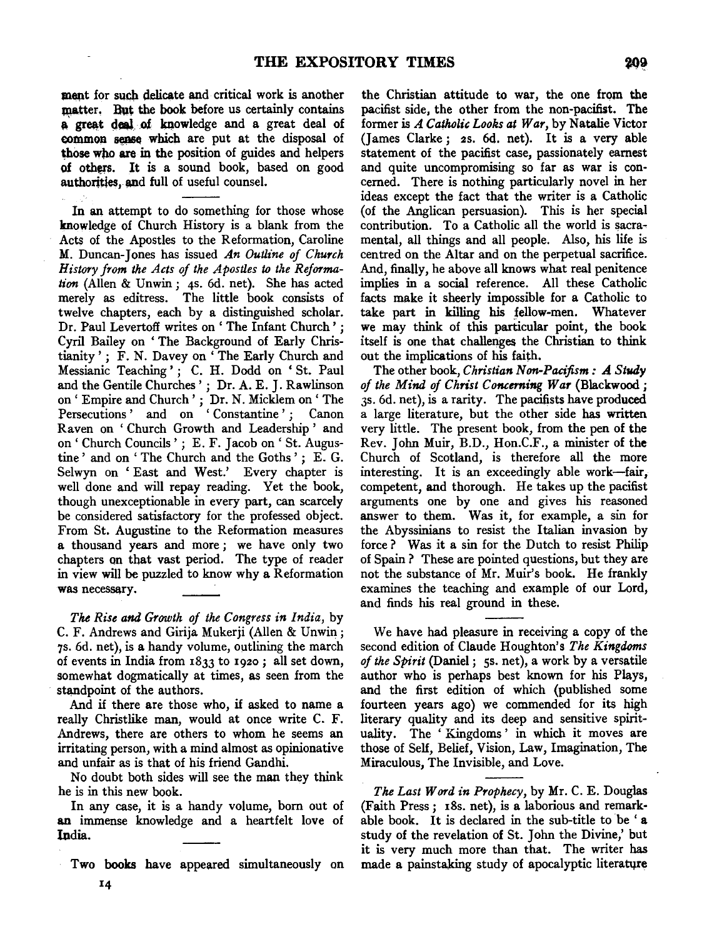ment for such delicate and critical work is another matter. But the book before us certainly contains a great deal of knowledge and a great deal of common sense which are put at the disposal of those who are in the position of guides and helpers of others. It is a sound book, based on good authorities, and full of useful counsel.

In an attempt to do something for those whose knowledge of Church History is a blank from the Acts of the Apostles to the Reformation, Caroline M. Duncan-Jones has issued *An Outline of Church History from the Acts of the Apostles to the Reformation* (Allen & Unwin; 4s. 6d. net). She has acted merely as editress. The little book consists of twelve chapters, each by a distinguished scholar. Dr. Paul Levertoff writes on ' The Infant Church ' ; Cyril Bailey on ' The Background of Early Christianity'; F. N. Davey on' The Early Church and Messianic Teaching' ; C. H. Dodd on ' St. Paul and the Gentile Churches' ; Dr. A. E. J. Rawlinson on' Empire and Church'; Dr. N. Micklem on' The Persecutions' and on 'Constantine'; Canon Raven on 'Church Growth and Leadership' and on' Church Councils'; E. F. Jacob on' St. Augustine' and on' The Church and the Goths'; E. G. Selwyn on 'East and West.' Every chapter is well done and will repay reading. Yet the book, though unexceptionable in every part, can scarcely be considered satisfactory for the professed object. From St. Augustine to the Reformation measures a thousand years and more ; we have only two chapters on that vast period. The type of reader in view will be puzzled to know why a Reformation was necessary.

*The Rise and Growth of the Congress in India,* by C. F. Andrews and Girija Mukerji (Allen & Unwin; 7s. 6d. net), is a handy volume, outlining the march of events in India from 1833 to 1920 ; all set down, somewhat dogmatically at times, as seen from the standpoint of the authors.

And if there are those who, if asked to name a really Christlike man, would at once write C. F. Andrews, there are others to whom he seems an irritating person, with a mind almost as opinionative and unfair as is that of his friend Gandhi.

No doubt both sides will see the man they think he is in this new book.

In any case, it is a handy volume, born out of an immense knowledge and a heartfelt love of India.

the Christian attitude to war, the one from the pacifist side, the other from the non-pacifist. The former is *A Catholic Looks at War,* by Natalie Victor (James Clarke; 2s. 6d. net). It is a very able statement of the pacifist case, passionately earnest and quite uncompromising so far as war is concerned. There is nothing particularly novel in her ideas except the fact that the writer is a Catholic (of the Anglican persuasion). This is her special contribution. To a Catholic all the world is sacramental, all things and all people. Also, his life is centred on the Altar and on the perpetual sacrifice. And, finally, he above all knows what real penitence implies in a social reference. All these Catholic facts make it sheerly impossible for a Catholic to take part in killing his fellow-men. Whatever we may think of this particular point, the book itself is one that challenges the Christian to think out the implications of his faith.

The other book, *Christian Non-Pacifism*: *A Study of the Mind* of *Christ Concerning War* (Blackwood; 3s. 6d. net), is a rarity. The pacifists have produced a large literature, but the other side has written very little. The present book, from the pen of the Rev. John Muir, B.D., Hon.C.F., a minister of the Church of Scotland, is therefore all the more interesting. It is an exceedingly able work-fair, competent, and thorough. He takes up the pacifist arguments one by one and gives his reasoned answer to them. Was it, for example, a sin for the Abyssinians to resist the Italian invasion by force? Was it a sin for the Dutch to resist Philip of Spain ? These are pointed questions, but they are not the substance of Mr. Muir's book. He frankly examines the teaching and example of our Lord, and finds his real ground in these.

We have had pleasure in receiving a copy of the second edition of Claude Houghton's *The Kingdoms of the Spirit* (Daniel; 5s. net), a work by a versatile author who is perhaps best known for his Plays, and the first edition of which (published some fourteen years ago) we commended for its high literary quality and its deep and sensitive spirituality. The ' Kingdoms ' in which it moves are those of Self, Belief, Vision, Law, Imagination, The Miraculous, The Invisible, and Love.

*The Last Word in Prophecy,* by Mr. C. E. Douglas (Faith Press; 18s. net}, is a laborious and remarkable book. It is declared in the sub-title to be ' a study of the revelation of St. John the Divine,' but it is very much more than that. The writer has made a painstaking study of apocalyptic literature

14

Two books have appeared simultaneously on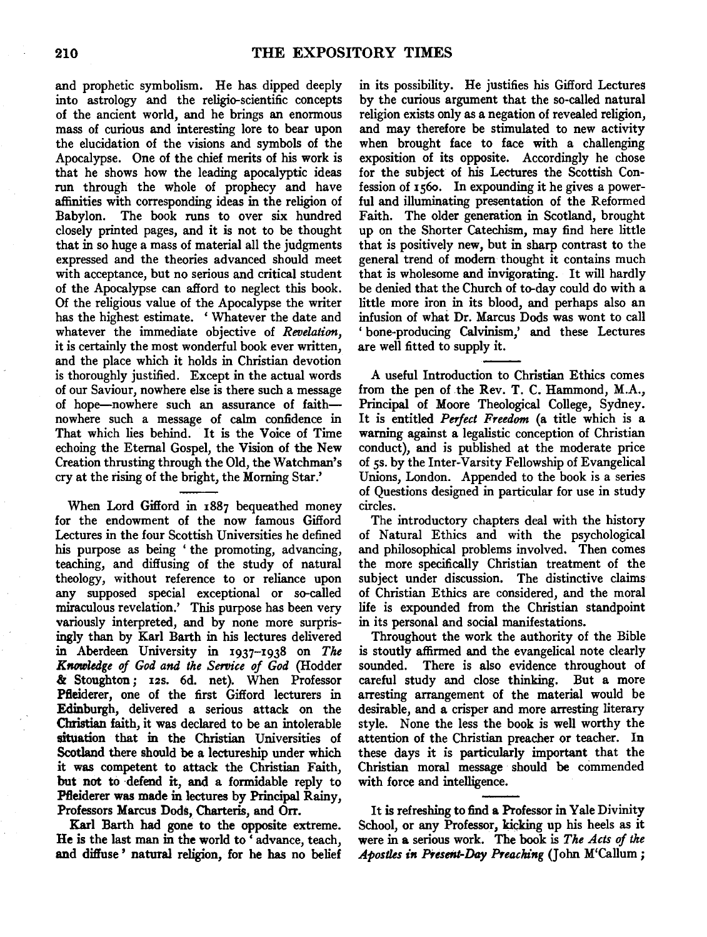and prophetic symbolism. He has dipped deeply into astrology and the religio-scientific concepts of the ancient world, and he brings an enormous mass of curious and interesting lore to bear upon the elucidation of the visions and symbols of the Apocalypse. One of the chief merits of his work is that he shows how the leading apocalyptic ideas run through the whole of prophecy and have affinities with corresponding ideas in the religion of Babylon. The book runs to over six hundred closely printed pages, and it is not to be thought that in so huge a mass of material all the judgments expressed and the theories advanced should meet with acceptance, but no serious and critical student of the Apocalypse can afford to neglect this book. Of the religious value of the Apocalypse the writer has the highest estimate. ' Whatever the date and whatever the immediate objective of *Revelation,*  it is certainly the most wonderful book ever written, and the place which it holds in Christian devotion is thoroughly justified. Except in the actual words of our Saviour, nowhere else is there such a message of hope-nowhere such an assurance of faithnowhere such a message of calm confidence in That which lies behind. It is the Voice of Time echoing the Eternal Gospel, the Vision of the New Creation thrusting through the Old, the Watchman's cry at the rising of the bright, the Morning Star.'

When Lord Gifford in 1887 bequeathed money for the endowment of the now famous Gifford Lectures in the four Scottish Universities he defined his purpose as being ' the promoting, advancing, teaching, and diffusing of the study of natural theology, without reference to or reliance upon any supposed special exceptional or so-called miraculous revelation.' This purpose has been very variously interpreted, and by none more surprisingly than by Karl Barth in his lectures delivered in Aberdeen University in 1937-1938 on *The Knowledge of God and the Seroice of God* (Hodder & Stoughton; 12s. 6d. net). When Professor Pfleiderer, one of the first Gifford lecturers in Edinburgh, delivered a serious attack on the Christian faith, it was declared to be an intolerable situation that in the Christian Universities of Scotland there should be a lectureship under which it was competent to attack the Christian Faith, but not to defend it, and a formidable reply to Pfleiderer was made in lectures by Principal Rainy, Professors Marcus Dods, Charteris, and Orr.

Karl Barth had gone to the opposite extreme. He is the last man in the world to ' advance, teach, and diffuse ' natural religion, for he has no belief in its possibility. He justifies his Gifford Lectures by the curious argument that the so-called natural religion exists only as a negation of revealed religion, and may therefore be stimulated to new activity when brought face to face with a challenging exposition of its opposite. Accordingly he chose for the subject of his Lectures the Scottish Confession of 156o. In expounding it he gives a powerful and illuminating presentation of the Reformed Faith. The older generation in Scotland, brought up on the Shorter Catechism, may find here little that is positively new, but in sharp contrast to the general trend of modem thought it contains much that is wholesome and invigorating. It will hardly be denied that the Church of to-day could do with a little more iron in its blood, and perhaps also an infusion of what Dr. Marcus Dods was wont to call ' bone-producing Calvinism,' and these Lectures are well fitted to supply it.

A useful Introduction to Christian Ethics comes from the pen of the Rev. T. C. Hammond, M.A., Principal of Moore Theological College, Sydney. It is entitled *Perfect Freedom* (a title which is a warning against a legalistic conception of Christian conduct), and is published at the moderate price of 5s. by the Inter-Varsity Fellowship of Evangelical Unions, London. Appended to the book is a series of Questions designed in particular for use in study circles.

The introductory chapters deal with the history of Natural Ethics and with the psychological and philosophical problems involved. Then comes the more specifically Christian treatment of the subject under discussion. The distinctive claims of Christian Ethics are considered, and the moral life is expounded from the Christian standpoint in its personal and social manifestations.

Throughout the work the authority of the Bible is stoutly affirmed and the evangelical note clearly sounded. There is also evidence throughout of careful study and close thinking. But a more arresting arrangement of the material would be desirable, and a crisper and more arresting literary style. None the less the book is well worthy the attention of the Christian preacher or teacher. In these days it is particularly important that the Christian moral message should be commended with force and intelligence.

It is refreshing to find a Professor in Yale Divinity School, or any Professor, kicking up his heels as it were in a serious work. The book is *The Acts of the Apostles in Present-Day Preaching* (John M'Callum ;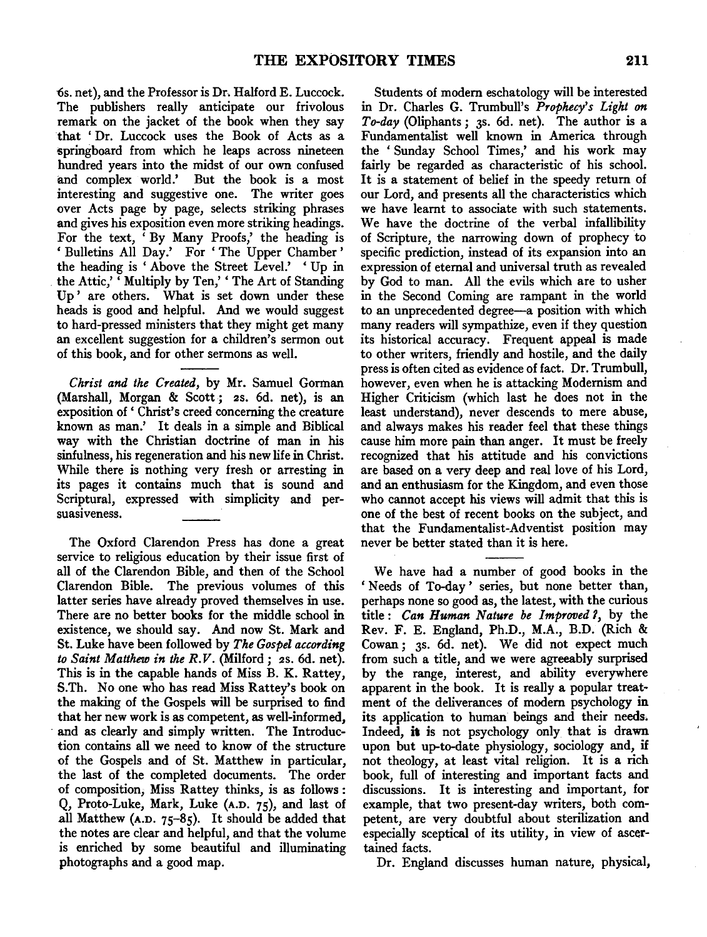-6s. net), and the Professor is Dr. Halford E. Luccock. The publishers really anticipate our frivolous remark on the jacket of the book when they say that 'Dr. Luccock uses the Book of Acts as a springboard from which he leaps across nineteen hundred years into the midst of our own confused and complex world.' But the book is a most interesting and suggestive one. The writer goes over Acts page by page, selects striking phrases and gives his exposition even more striking headings. For the text, 'By Many Proofs,' the heading is ' Bulletins All Day.' For 'The Upper Chamber' the heading is ' Above the Street Level.' ' Up in the Attic,' 'Multiply by Ten,' 'The Art of Standing Up' are others. What is set down under these heads is good and helpful. And we would suggest to hard-pressed ministers that they might get many an excellent suggestion for a children's sermon out of this book, and for other sermons as well.

*Christ and the Created,* by Mr. Samuel Gorman (Marshall, Morgan & Scott; 2s. 6d. net), is an exposition of' Christ's creed concerning the creature known as man.' It deals in a simple and Biblical way with the Christian doctrine of man in his sinfulness, his regeneration and his new life in Christ. While there is nothing very fresh or arresting in its pages it contains much that is sound and Scriptural, expressed with simplicity and persuasiveness.

The Oxford Clarendon Press has done a great service to religious education by their issue first of all of the Clarendon Bible, and then of the School Clarendon Bible. The previous volumes of this latter series have already proved themselves in use. There are no better books for the middle school in existence, we should say. And now St. Mark and St. Luke have been followed by *The Gospel according to Saint Matthew in the R.V.* (Milford; 2s. 6d. net). This is in the capable hands of Miss B. K. Rattey, S.Th. No one who has read Miss Rattey's book on the making of the Gospels will be surprised to find that her new work is as competent, as well-informed, and as clearly and simply written. The Introduction contains all we need to know of the structure of the Gospels and of St. Matthew in particular, the last of the completed documents. The order of composition, Miss Rattey thinks, is as follows : Q, Proto-Luke, Mark, Luke (A.D. 75), and last of all Matthew (A.D. 75-85). It should be added that the notes are clear and helpful, and that the volume is enriched by some beautiful and illuminating photographs and a good map.

Students of modem eschatology will be interested in Dr. Charles G. Trumbull's *Prophecy's Light on To-day* (Oliphants; 3s. 6d. net). The author is a Fundamentalist well known in America through the ' Sunday School Times,' and his work may fairly be regarded as characteristic of his school. It is a statement of belief in the speedy return of our Lord, and presents all the characteristics which we have learnt to associate with such statements. We have the doctrine of the verbal infallibility of Scripture, the narrowing down of prophecy to specific prediction, instead of its expansion into an expression of eternal and universal truth as revealed by God to man. All the evils which are to usher in the Second Coming are rampant in the world to an unprecedented degree-a position with which many readers will sympathize, even if they question its historical accuracy. Frequent appeal is made to other writers, friendly and hostile, and the daily press is often cited as evidence of fact. Dr. Trumbull, however, even when he is attacking Modernism and Higher Criticism (which last he does not in the least understand), never descends to mere abuse, and always makes his reader feel that these things cause him more pain than anger. It must be freely recognized that his attitude and his convictions are based on a very deep and real love of his Lord, and an enthusiasm for the Kingdom, and even those who cannot accept his views will admit that this is one of the best of recent books on the subject, and that the Fundamentalist-Adventist position may never be better stated than it is here.

We have had a number of good books in the 'Needs of To-day' series, but none better than, perhaps none so good as, the latest, with the curious title: *Can Human Nature be Improved 1,* by the Rev. F. E. England, Ph.D., M.A., B.D. (Rich & Cowan; 3s. 6d. net). We did not expect much from such a title, and we were agreeably surprised by the range, interest, and ability everywhere apparent in the book. It is really a popular treatment of the deliverances of modem psychology in its application to human beings and their needs. Indeed, it is not psychology only that is drawn upon but up-to-date physiology, sociology and, if not theology, at least vital religion. It is a rich book, full of interesting and important facts and discussions. It is interesting and important, for example, that two present-day writers, both competent, are very doubtful about sterilization and especially sceptical of its utility, in view of ascertained facts.

Dr. England discusses human nature, physical,